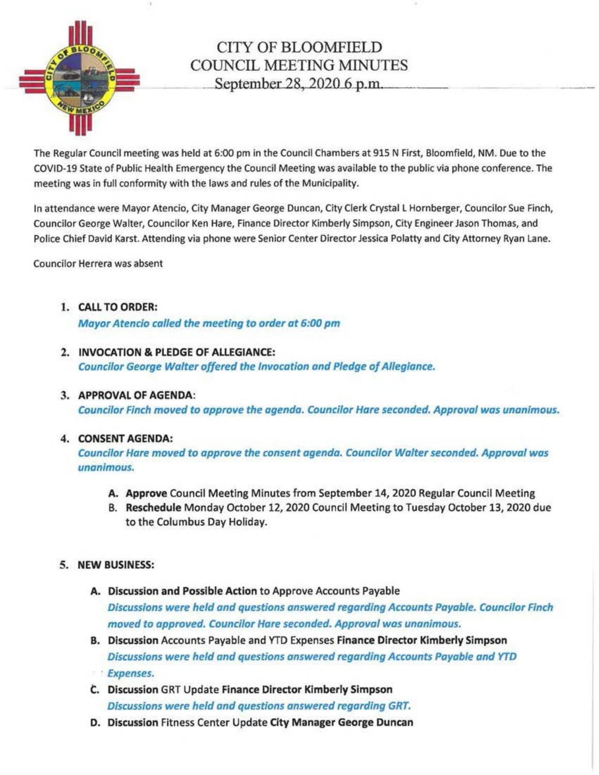

## CITY OF BLOOMFIELD COUNCIL MEETING MINUTES September 28, 2020 6 p.m.

The Regular Council meeting was held at 6:00 pm in the Council Chambers at 915 N First, Bloomfield, NM. Due to the COVID-19 State of Public Health Emergency the Council Meeting was available to the public via phone conference. The meeting was in full conformity with the laws and rules of the Municipality.

In attendance were Mayor Atencio, City Manager George Duncan, City Clerk Crystal L Hornberger, Councilor Sue Finch, Councilor George Walter, Councilor Ken Hare, Finance Director Kimberly Simpson, City Engineer Jason Thomas, and Police Chief David Karst. Attending via phone were Senior Center Director Jessica Polatty and City Attorney Ryan Lane.

Councilor Herrera was absent

1. CALL TO ORDER:

Mayor Atencio called the meeting to order at 6:00 pm

- 2. INVOCATION & PLEDGE OF ALLEGIANCE: Councilor George Walter offered the Invocation and Pledge af Allegiance.
- 3. APPROVAL OF AGENDA:

Councilor Finch moved to approve the agenda. Councilor Hare seconded. Approval was unanimous.

## 4. CONSENT AGENDA:

Councilor Hare moved to approve the consent agenda. Councilor Walter seconded. Approval was unanimous.

- A. Approve Council Meeting Minutes from September 14, 2020 Regular Council Meeting
- B. Reschedule Monday October 12, 2020 Council Meeting to Tuesday October 13, 2020 due to the Columbus Day Holiday.
- 5. NEW BUSINESS:
	- A. Discussion and Possible Action to Approve Accounts Payable Discussions were held and questions answered regarding Accounts Payable. Councilor Finch moved to approved. Councilor Hare seconded. Approval was unanimous.
	- B. Discussion Accounts Payable and YTD Expenses Finance Director Kimberly Simpson Discussions were held and questions answered regarding Accounts Payable and YTD
	- · Expenses.
	- C.. Discussion GRT Update Finance Director Kimberly Simpson Discussions were held and questions answered regarding GRT.
	- D. Discussion Fitness Center Update City Manager George Duncan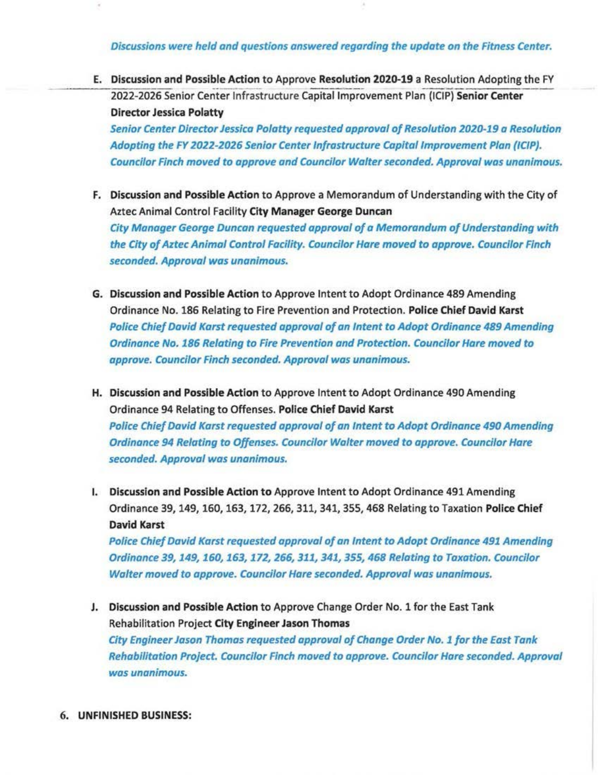Discussions were held and questions answered regarding the update on the Fitness Center.

E. Discussion and Possible Action to Approve Resolution 2020-19 a Resolution Adopting the FY 2022-2026 Senior Center Infrastructure Capital Improvement Plan (ICIP) Senior Center Director Jessica Polatty

Senior Center Director Jessica Pa/atty requested approval of Resolution 2020-19 a Resolution Adopting the FY 2022-2026 Senior Center Infrastructure Capital Improvement Plan (ICIP). Councilor Finch moved *to* approve and Councilor Walter seconded. Approval was unanimous.

- F. Discussion and Possible Action to Approve a Memorandum of Understanding with the City of Aztec Animal Control Facility City Manager George Duncan City Manager George Duncan requested approval of a Memorandum of Understanding with the City of Aztec Animal Control Facility. Councilor Hare moved to approve. Councilor Finch seconded. Approval was unanimous.
- G. Discussion and Possible Action to Approve Intent to Adopt Ordinance 489 Amending Ordinance No. 186 Relating to Fire Prevention and Protection. Police Chief David Karst Police Chief David Karst requested approval of an Intent to Adopt Ordinance 489 Amending Ordinance No. 186 Relating to Fire Prevention and Protection. Councilor Hare moved to approve. Councilor Finch seconded. Approval was unanimous.
- H. Discussion and Possible Action to Approve Intent to Adopt Ordinance 490 Amending Ordinance 94 Relating to Offenses. Police Chief David Karst Police Chief David Karst requested approval of an Intent to Adopt Ordinance 490 Amending Ordinance 94 Relating to Offenses. Councilor Walter moved to approve. Councilor Hare seconded. Approval was unanimous.
- I. Discussion and Possible Action to Approve Intent to Adopt Ordinance 491 Amending Ordinance 39, 149, 160, 163, 172, 266, 311, 341, 355, 468 Relating to Taxation Police Chief David Karst

Police Chief David Karst requested approval of an Intent to Adopt Ordinance 491 Amending Ordinance 39, 149, 160, 163, 172, 266, 311, 341, 355, 468 Relating to Taxation. Councilor Walter moved to approve. Councilor Hare seconded. Approval was unanimous.

- J. Discussion and Possible Action to Approve Change Order No. 1 for the East Tank Rehabilitation Project City Engineer Jason Thomas City Engineer Jason Thomas requested approval of Change Order No. 1 for the East Tank Rehabilitation Project. Councilor Finch moved to approve. Councilor Hare seconded. Approval was unanimous.
- 6. UNFINISHED BUSINESS: